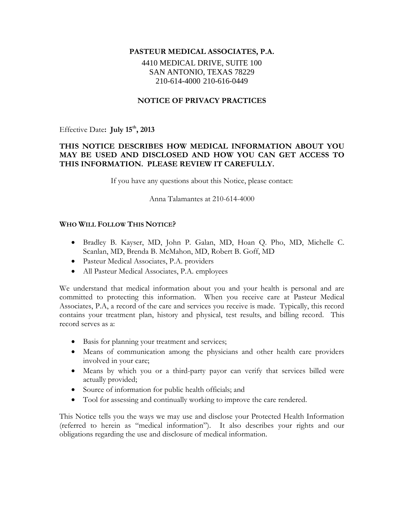#### **PASTEUR MEDICAL ASSOCIATES, P.A.**

## 4410 MEDICAL DRIVE, SUITE 100 SAN ANTONIO, TEXAS 78229 210-614-4000 210-616-0449

## **NOTICE OF PRIVACY PRACTICES**

Effective Date**: July 15th, 2013**

## **THIS NOTICE DESCRIBES HOW MEDICAL INFORMATION ABOUT YOU MAY BE USED AND DISCLOSED AND HOW YOU CAN GET ACCESS TO THIS INFORMATION. PLEASE REVIEW IT CAREFULLY.**

If you have any questions about this Notice, please contact:

Anna Talamantes at 210-614-4000

#### **WHO WILL FOLLOW THIS NOTICE?**

- Bradley B. Kayser, MD, John P. Galan, MD, Hoan Q. Pho, MD, Michelle C. Scanlan, MD, Brenda B. McMahon, MD, Robert B. Goff, MD
- Pasteur Medical Associates, P.A. providers
- All Pasteur Medical Associates, P.A. employees

We understand that medical information about you and your health is personal and are committed to protecting this information. When you receive care at Pasteur Medical Associates, P.A, a record of the care and services you receive is made. Typically, this record contains your treatment plan, history and physical, test results, and billing record. This record serves as a:

- Basis for planning your treatment and services;
- Means of communication among the physicians and other health care providers involved in your care;
- Means by which you or a third-party payor can verify that services billed were actually provided;
- Source of information for public health officials; and
- Tool for assessing and continually working to improve the care rendered.

This Notice tells you the ways we may use and disclose your Protected Health Information (referred to herein as "medical information"). It also describes your rights and our obligations regarding the use and disclosure of medical information.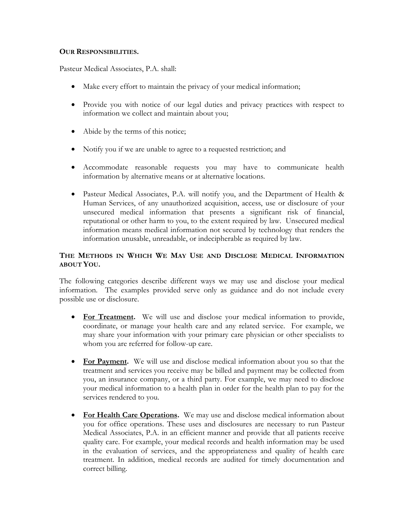#### **OUR RESPONSIBILITIES.**

Pasteur Medical Associates, P.A. shall:

- Make every effort to maintain the privacy of your medical information;
- Provide you with notice of our legal duties and privacy practices with respect to information we collect and maintain about you;
- Abide by the terms of this notice;
- Notify you if we are unable to agree to a requested restriction; and
- Accommodate reasonable requests you may have to communicate health information by alternative means or at alternative locations.
- Pasteur Medical Associates, P.A. will notify you, and the Department of Health & Human Services, of any unauthorized acquisition, access, use or disclosure of your unsecured medical information that presents a significant risk of financial, reputational or other harm to you, to the extent required by law. Unsecured medical information means medical information not secured by technology that renders the information unusable, unreadable, or indecipherable as required by law.

# **THE METHODS IN WHICH WE MAY USE AND DISCLOSE MEDICAL INFORMATION ABOUT YOU.**

The following categories describe different ways we may use and disclose your medical information. The examples provided serve only as guidance and do not include every possible use or disclosure.

- **For Treatment.** We will use and disclose your medical information to provide, coordinate, or manage your health care and any related service. For example, we may share your information with your primary care physician or other specialists to whom you are referred for follow-up care.
- **For Payment.** We will use and disclose medical information about you so that the treatment and services you receive may be billed and payment may be collected from you, an insurance company, or a third party. For example, we may need to disclose your medical information to a health plan in order for the health plan to pay for the services rendered to you.
- **For Health Care Operations.** We may use and disclose medical information about you for office operations. These uses and disclosures are necessary to run Pasteur Medical Associates, P.A. in an efficient manner and provide that all patients receive quality care. For example, your medical records and health information may be used in the evaluation of services, and the appropriateness and quality of health care treatment. In addition, medical records are audited for timely documentation and correct billing.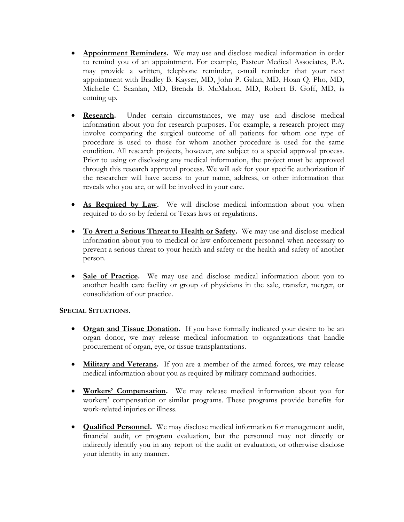- **Appointment Reminders.** We may use and disclose medical information in order to remind you of an appointment. For example, Pasteur Medical Associates, P.A. may provide a written, telephone reminder, e-mail reminder that your next appointment with Bradley B. Kayser, MD, John P. Galan, MD, Hoan Q. Pho, MD, Michelle C. Scanlan, MD, Brenda B. McMahon, MD, Robert B. Goff, MD, is coming up.
- **Research.** Under certain circumstances, we may use and disclose medical information about you for research purposes. For example, a research project may involve comparing the surgical outcome of all patients for whom one type of procedure is used to those for whom another procedure is used for the same condition. All research projects, however, are subject to a special approval process. Prior to using or disclosing any medical information, the project must be approved through this research approval process. We will ask for your specific authorization if the researcher will have access to your name, address, or other information that reveals who you are, or will be involved in your care.
- **As Required by Law.** We will disclose medical information about you when required to do so by federal or Texas laws or regulations.
- **To Avert a Serious Threat to Health or Safety.** We may use and disclose medical information about you to medical or law enforcement personnel when necessary to prevent a serious threat to your health and safety or the health and safety of another person.
- **Sale of Practice.** We may use and disclose medical information about you to another health care facility or group of physicians in the sale, transfer, merger, or consolidation of our practice.

## **SPECIAL SITUATIONS.**

- **Organ and Tissue Donation.** If you have formally indicated your desire to be an organ donor, we may release medical information to organizations that handle procurement of organ, eye, or tissue transplantations.
- **Military and Veterans.** If you are a member of the armed forces, we may release medical information about you as required by military command authorities.
- **Workers' Compensation.** We may release medical information about you for workers' compensation or similar programs. These programs provide benefits for work-related injuries or illness.
- **Qualified Personnel.** We may disclose medical information for management audit, financial audit, or program evaluation, but the personnel may not directly or indirectly identify you in any report of the audit or evaluation, or otherwise disclose your identity in any manner.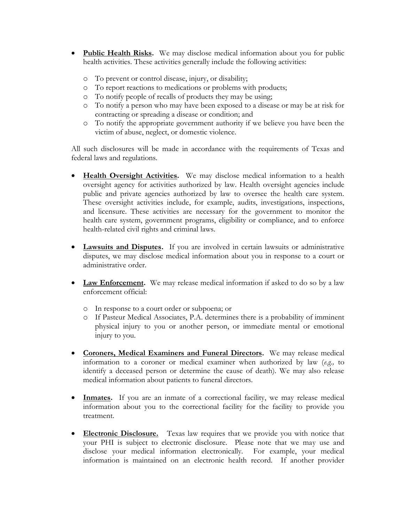- **Public Health Risks.** We may disclose medical information about you for public health activities. These activities generally include the following activities:
	- o To prevent or control disease, injury, or disability;
	- o To report reactions to medications or problems with products;
	- o To notify people of recalls of products they may be using;
	- o To notify a person who may have been exposed to a disease or may be at risk for contracting or spreading a disease or condition; and
	- o To notify the appropriate government authority if we believe you have been the victim of abuse, neglect, or domestic violence.

All such disclosures will be made in accordance with the requirements of Texas and federal laws and regulations.

- **Health Oversight Activities.** We may disclose medical information to a health oversight agency for activities authorized by law. Health oversight agencies include public and private agencies authorized by law to oversee the health care system. These oversight activities include, for example, audits, investigations, inspections, and licensure. These activities are necessary for the government to monitor the health care system, government programs, eligibility or compliance, and to enforce health-related civil rights and criminal laws.
- **Lawsuits and Disputes.** If you are involved in certain lawsuits or administrative disputes, we may disclose medical information about you in response to a court or administrative order.
- Law Enforcement. We may release medical information if asked to do so by a law enforcement official:
	- o In response to a court order or subpoena; or
	- o If Pasteur Medical Associates, P.A. determines there is a probability of imminent physical injury to you or another person, or immediate mental or emotional injury to you.
- **Coroners, Medical Examiners and Funeral Directors.** We may release medical information to a coroner or medical examiner when authorized by law (*e.g.,* to identify a deceased person or determine the cause of death). We may also release medical information about patients to funeral directors.
- **Inmates.** If you are an inmate of a correctional facility, we may release medical information about you to the correctional facility for the facility to provide you treatment.
- **Electronic Disclosure.** Texas law requires that we provide you with notice that your PHI is subject to electronic disclosure. Please note that we may use and disclose your medical information electronically. For example, your medical information is maintained on an electronic health record. If another provider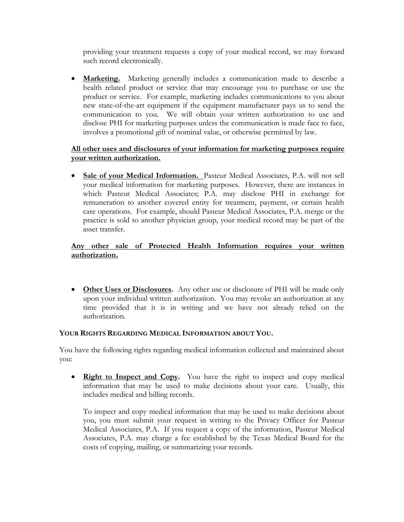providing your treatment requests a copy of your medical record, we may forward such record electronically.

 **Marketing.** Marketing generally includes a communication made to describe a health related product or service that may encourage you to purchase or use the product or service. For example, marketing includes communications to you about new state-of-the-art equipment if the equipment manufacturer pays us to send the communication to you. We will obtain your written authorization to use and disclose PHI for marketing purposes unless the communication is made face to face, involves a promotional gift of nominal value, or otherwise permitted by law.

# **All other uses and disclosures of your information for marketing purposes require your written authorization.**

 **Sale of your Medical Information.** Pasteur Medical Associates, P.A. will not sell your medical information for marketing purposes. However, there are instances in which Pasteur Medical Associates; P.A. may disclose PHI in exchange for remuneration to another covered entity for treatment, payment, or certain health care operations. For example, should Pasteur Medical Associates, P.A. merge or the practice is sold to another physician group, your medical record may be part of the asset transfer.

# **Any other sale of Protected Health Information requires your written authorization.**

 **Other Uses or Disclosures.** Any other use or disclosure of PHI will be made only upon your individual written authorization. You may revoke an authorization at any time provided that it is in writing and we have not already relied on the authorization.

## **YOUR RIGHTS REGARDING MEDICAL INFORMATION ABOUT YOU.**

You have the following rights regarding medical information collected and maintained about you:

• **Right to Inspect and Copy.** You have the right to inspect and copy medical information that may be used to make decisions about your care. Usually, this includes medical and billing records.

To inspect and copy medical information that may be used to make decisions about you, you must submit your request in writing to the Privacy Officer for Pasteur Medical Associates, P.A. If you request a copy of the information, Pasteur Medical Associates, P.A. may charge a fee established by the Texas Medical Board for the costs of copying, mailing, or summarizing your records.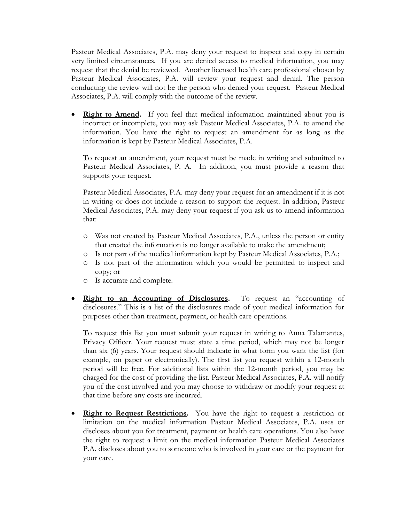Pasteur Medical Associates, P.A. may deny your request to inspect and copy in certain very limited circumstances. If you are denied access to medical information, you may request that the denial be reviewed. Another licensed health care professional chosen by Pasteur Medical Associates, P.A. will review your request and denial. The person conducting the review will not be the person who denied your request. Pasteur Medical Associates, P.A. will comply with the outcome of the review.

• **Right to Amend.** If you feel that medical information maintained about you is incorrect or incomplete, you may ask Pasteur Medical Associates, P.A. to amend the information. You have the right to request an amendment for as long as the information is kept by Pasteur Medical Associates, P.A.

To request an amendment, your request must be made in writing and submitted to Pasteur Medical Associates, P. A. In addition, you must provide a reason that supports your request.

Pasteur Medical Associates, P.A. may deny your request for an amendment if it is not in writing or does not include a reason to support the request. In addition, Pasteur Medical Associates, P.A. may deny your request if you ask us to amend information that:

- o Was not created by Pasteur Medical Associates, P.A., unless the person or entity that created the information is no longer available to make the amendment;
- o Is not part of the medical information kept by Pasteur Medical Associates, P.A.;
- o Is not part of the information which you would be permitted to inspect and copy; or
- o Is accurate and complete.
- **Right to an Accounting of Disclosures.** To request an "accounting of disclosures." This is a list of the disclosures made of your medical information for purposes other than treatment, payment, or health care operations.

To request this list you must submit your request in writing to Anna Talamantes, Privacy Officer. Your request must state a time period, which may not be longer than six (6) years. Your request should indicate in what form you want the list (for example, on paper or electronically). The first list you request within a 12-month period will be free. For additional lists within the 12-month period, you may be charged for the cost of providing the list. Pasteur Medical Associates, P.A. will notify you of the cost involved and you may choose to withdraw or modify your request at that time before any costs are incurred.

**Right to Request Restrictions.** You have the right to request a restriction or limitation on the medical information Pasteur Medical Associates, P.A. uses or discloses about you for treatment, payment or health care operations. You also have the right to request a limit on the medical information Pasteur Medical Associates P.A. discloses about you to someone who is involved in your care or the payment for your care.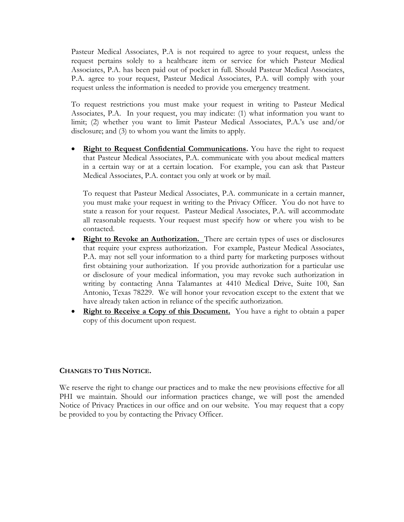Pasteur Medical Associates, P.A is not required to agree to your request, unless the request pertains solely to a healthcare item or service for which Pasteur Medical Associates, P.A. has been paid out of pocket in full. Should Pasteur Medical Associates, P.A. agree to your request, Pasteur Medical Associates, P.A. will comply with your request unless the information is needed to provide you emergency treatment.

To request restrictions you must make your request in writing to Pasteur Medical Associates, P.A. In your request, you may indicate: (1) what information you want to limit; (2) whether you want to limit Pasteur Medical Associates, P.A.'s use and/or disclosure; and (3) to whom you want the limits to apply.

**Right to Request Confidential Communications.** You have the right to request that Pasteur Medical Associates, P.A. communicate with you about medical matters in a certain way or at a certain location. For example, you can ask that Pasteur Medical Associates, P.A. contact you only at work or by mail.

To request that Pasteur Medical Associates, P.A. communicate in a certain manner, you must make your request in writing to the Privacy Officer. You do not have to state a reason for your request. Pasteur Medical Associates, P.A. will accommodate all reasonable requests. Your request must specify how or where you wish to be contacted.

- **Right to Revoke an Authorization.** There are certain types of uses or disclosures that require your express authorization. For example, Pasteur Medical Associates, P.A. may not sell your information to a third party for marketing purposes without first obtaining your authorization. If you provide authorization for a particular use or disclosure of your medical information, you may revoke such authorization in writing by contacting Anna Talamantes at 4410 Medical Drive, Suite 100, San Antonio, Texas 78229. We will honor your revocation except to the extent that we have already taken action in reliance of the specific authorization.
- **Right to Receive a Copy of this Document.** You have a right to obtain a paper copy of this document upon request.

#### **CHANGES TO THIS NOTICE.**

We reserve the right to change our practices and to make the new provisions effective for all PHI we maintain. Should our information practices change, we will post the amended Notice of Privacy Practices in our office and on our website. You may request that a copy be provided to you by contacting the Privacy Officer.